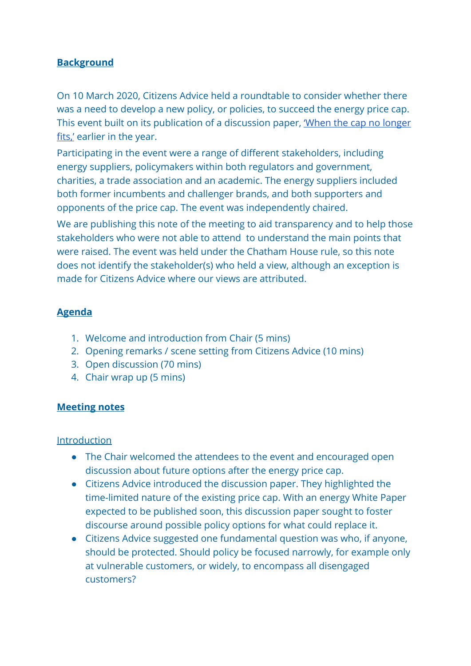# **Background**

On 10 March 2020, Citizens Advice held a roundtable to consider whether there was a need to develop a new policy, or policies, to succeed the energy price cap. This event built on its publication of a discussion paper, *'When the cap no longer* [fits,'](https://www.citizensadvice.org.uk/Global/CitizensAdvice/Energy/When%20the%20cap%20no%20longer%20fits%20-%20a%20discussion%20paper.pdf) earlier in the year.

Participating in the event were a range of different stakeholders, including energy suppliers, policymakers within both regulators and government, charities, a trade association and an academic. The energy suppliers included both former incumbents and challenger brands, and both supporters and opponents of the price cap. The event was independently chaired.

We are publishing this note of the meeting to aid transparency and to help those stakeholders who were not able to attend to understand the main points that were raised. The event was held under the Chatham House rule, so this note does not identify the stakeholder(s) who held a view, although an exception is made for Citizens Advice where our views are attributed.

## **Agenda**

- 1. Welcome and introduction from Chair (5 mins)
- 2. Opening remarks / scene setting from Citizens Advice (10 mins)
- 3. Open discussion (70 mins)
- 4. Chair wrap up (5 mins)

### **Meeting notes**

### Introduction

- The Chair welcomed the attendees to the event and encouraged open discussion about future options after the energy price cap.
- Citizens Advice introduced the discussion paper. They highlighted the time-limited nature of the existing price cap. With an energy White Paper expected to be published soon, this discussion paper sought to foster discourse around possible policy options for what could replace it.
- Citizens Advice suggested one fundamental question was who, if anyone, should be protected. Should policy be focused narrowly, for example only at vulnerable customers, or widely, to encompass all disengaged customers?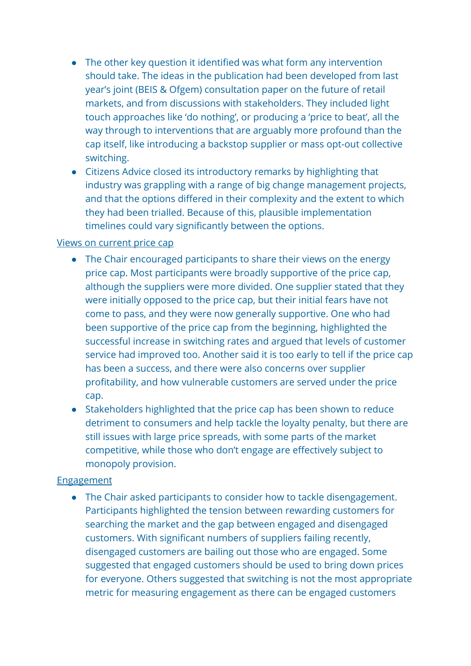- The other key question it identified was what form any intervention should take. The ideas in the publication had been developed from last year's joint (BEIS & Ofgem) consultation paper on the future of retail markets, and from discussions with stakeholders. They included light touch approaches like 'do nothing', or producing a 'price to beat', all the way through to interventions that are arguably more profound than the cap itself, like introducing a backstop supplier or mass opt-out collective switching.
- Citizens Advice closed its introductory remarks by highlighting that industry was grappling with a range of big change management projects, and that the options differed in their complexity and the extent to which they had been trialled. Because of this, plausible implementation timelines could vary significantly between the options.

### Views on current price cap

- The Chair encouraged participants to share their views on the energy price cap. Most participants were broadly supportive of the price cap, although the suppliers were more divided. One supplier stated that they were initially opposed to the price cap, but their initial fears have not come to pass, and they were now generally supportive. One who had been supportive of the price cap from the beginning, highlighted the successful increase in switching rates and argued that levels of customer service had improved too. Another said it is too early to tell if the price cap has been a success, and there were also concerns over supplier profitability, and how vulnerable customers are served under the price cap.
- Stakeholders highlighted that the price cap has been shown to reduce detriment to consumers and help tackle the loyalty penalty, but there are still issues with large price spreads, with some parts of the market competitive, while those who don't engage are effectively subject to monopoly provision.

### **Engagement**

● The Chair asked participants to consider how to tackle disengagement. Participants highlighted the tension between rewarding customers for searching the market and the gap between engaged and disengaged customers. With significant numbers of suppliers failing recently, disengaged customers are bailing out those who are engaged. Some suggested that engaged customers should be used to bring down prices for everyone. Others suggested that switching is not the most appropriate metric for measuring engagement as there can be engaged customers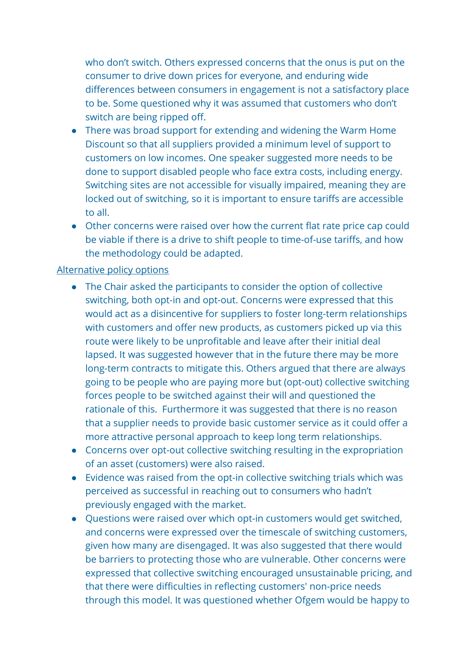who don't switch. Others expressed concerns that the onus is put on the consumer to drive down prices for everyone, and enduring wide differences between consumers in engagement is not a satisfactory place to be. Some questioned why it was assumed that customers who don't switch are being ripped off.

- There was broad support for extending and widening the Warm Home Discount so that all suppliers provided a minimum level of support to customers on low incomes. One speaker suggested more needs to be done to support disabled people who face extra costs, including energy. Switching sites are not accessible for visually impaired, meaning they are locked out of switching, so it is important to ensure tariffs are accessible to all.
- Other concerns were raised over how the current flat rate price cap could be viable if there is a drive to shift people to time-of-use tariffs, and how the methodology could be adapted.

### Alternative policy options

- The Chair asked the participants to consider the option of collective switching, both opt-in and opt-out. Concerns were expressed that this would act as a disincentive for suppliers to foster long-term relationships with customers and offer new products, as customers picked up via this route were likely to be unprofitable and leave after their initial deal lapsed. It was suggested however that in the future there may be more long-term contracts to mitigate this. Others argued that there are always going to be people who are paying more but (opt-out) collective switching forces people to be switched against their will and questioned the rationale of this. Furthermore it was suggested that there is no reason that a supplier needs to provide basic customer service as it could offer a more attractive personal approach to keep long term relationships.
- Concerns over opt-out collective switching resulting in the expropriation of an asset (customers) were also raised.
- Evidence was raised from the opt-in collective switching trials which was perceived as successful in reaching out to consumers who hadn't previously engaged with the market.
- Questions were raised over which opt-in customers would get switched, and concerns were expressed over the timescale of switching customers, given how many are disengaged. It was also suggested that there would be barriers to protecting those who are vulnerable. Other concerns were expressed that collective switching encouraged unsustainable pricing, and that there were difficulties in reflecting customers' non-price needs through this model. It was questioned whether Ofgem would be happy to